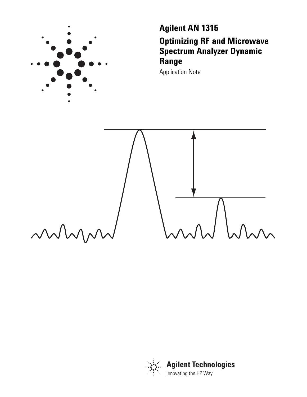

**Agilent AN 1315 Optimizing RF and Microwave Spectrum Analyzer Dynamic Range**

Application Note



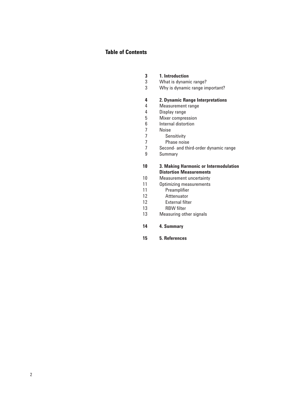### **Table of Contents**

| 3 | <b>1.</b> Introduction |
|---|------------------------|
|   |                        |

- 3 What is dynamic range?
- 3 Why is dynamic range important?

#### **4 2. Dynamic Range Interpretations**

- 4 Measurement range
- 4 Display range
- 5 6 Mixer compression
	- Internal distortion

7 7 7

- Noise
- Sensitivity
- Phase noise
- 7 Second- and third-order dynamic range
- 9 Summary
- **10** 10 11 11 12 12 13 **3. Making Harmonic or Intermodulation Distortion Measurements** Measurement uncertainty Optimizing measurements Preamplifier **Atttenuator** External filter
	- RBW filter
- 13 Measuring other signals
- **14 4. Summary**
- **15 5. References**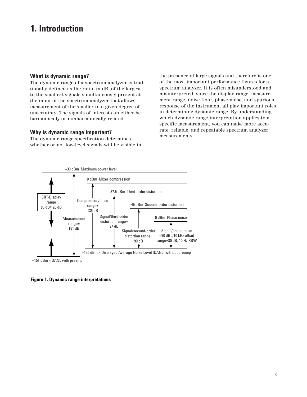# **1. Introduction**

### **What is dynamic range?**

The dynamic range of a spectrum analyzer is traditionally defined as the ratio, in dB, of the largest to the smallest signals simultaneously present at the input of the spectrum analyzer that allows measurement of the smaller to a given degree of uncertainty. The signals of interest can either be harmonically or nonharmonically related.

#### **Why is dynamic range important?**

The dynamic range specification determines whether or not low-level signals will be visible in

the presence of large signals and therefore is one of the most important performance figures for a spectrum analyzer. It is often misunderstood and misinterpreted, since the display range, measurement range, noise floor, phase noise, and spurious response of the instrument all play important roles in determining dynamic range. By understanding which dynamic range interpretation applies to a specific measurement, you can make more accurate, reliable, and repeatable spectrum analyzer measurements.



**Figure 1. Dynamic range interpretations**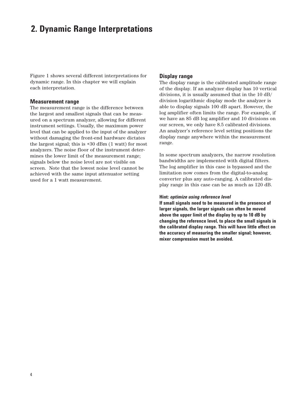# **2. Dynamic Range Interpretations**

Figure 1 shows several different interpretations for dynamic range. In this chapter we will explain each interpretation.

#### **Measurement range**

The measurement range is the difference between the largest and smallest signals that can be measured on a spectrum analyzer, allowing for different instrument settings. Usually, the maximum power level that can be applied to the input of the analyzer without damaging the front-end hardware dictates the largest signal; this is +30 dBm (1 watt) for most analyzers. The noise floor of the instrument determines the lower limit of the measurement range; signals below the noise level are not visible on screen. Note that the lowest noise level cannot be achieved with the same input attenuator setting used for a 1 watt measurement.

#### **Display range**

The display range is the calibrated amplitude range of the display. If an analyzer display has 10 vertical divisions, it is usually assumed that in the 10 dB/ division logarithmic display mode the analyzer is able to display signals 100 dB apart. However, the log amplifier often limits the range. For example, if we have an 85 dB log amplifier and 10 divisions on our screen, we only have 8.5 calibrated divisions. An analyzer's reference level setting positions the display range anywhere within the measurement range.

In some spectrum analyzers, the narrow resolution bandwidths are implemented with digital filters. The log amplifier in this case is bypassed and the limitation now comes from the digital-to-analog converter plus any auto-ranging. A calibrated display range in this case can be as much as 120 dB.

#### **Hint:** *optimize using reference level*

**If small signals need to be measured in the presence of larger signals, the larger signals can often be moved above the upper limit of the display by up to 10 dB by changing the reference level, to place the small signals in the calibrated display range. This will have little effect on the accuracy of measuring the smaller signal; however, mixer compression must be avoided.**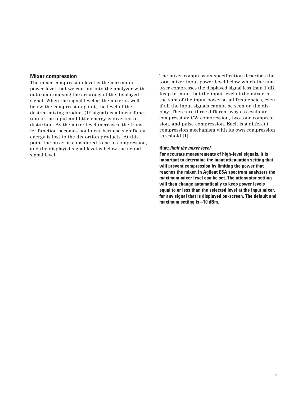#### **Mixer compression**

The mixer compression level is the maximum power level that we can put into the analyzer without compromising the accuracy of the displayed signal. When the signal level at the mixer is well below the compression point, the level of the desired mixing product (IF signal) is a linear function of the input and little energy is diverted to distortion. As the mixer level increases, the transfer function becomes nonlinear because significant energy is lost to the distortion products. At this point the mixer is considered to be in compression, and the displayed signal level is below the actual signal level.

The mixer compression specification describes the total mixer input power level below which the analyzer compresses the displayed signal less than 1 dB. Keep in mind that the input level at the mixer is the sum of the input power at all frequencies, even if all the input signals cannot be seen on the display. There are three different ways to evaluate compression: CW compression, two-tone compression, and pulse compression. Each is a different compression mechanism with its own compression threshold **[1]**.

#### **Hint:** *limit the mixer level*

**For accurate measurements of high-level signals, it is important to determine the input attenuation setting that will prevent compression by limiting the power that reaches the mixer. In Agilent ESA spectrum analyzers the maximum mixer level can be set. The attenuator setting will then change automatically to keep power levels equal to or less than the selected level at the input mixer, for any signal that is displayed on-screen. The default and maximum setting is –10 dBm.**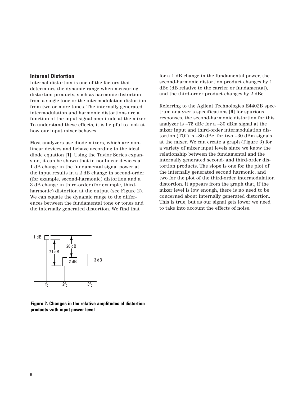### **Internal Distortion**

Internal distortion is one of the factors that determines the dynamic range when measuring distortion products, such as harmonic distortion from a single tone or the intermodulation distortion from two or more tones. The internally generated intermodulation and harmonic distortions are a function of the input signal amplitude at the mixer. To understand these effects, it is helpful to look at how our input mixer behaves.

Most analyzers use diode mixers, which are nonlinear devices and behave according to the ideal diode equation **[1]**. Using the Taylor Series expansion, it can be shown that in nonlinear devices a 1 dB change in the fundamental signal power at the input results in a 2 dB change in second-order (for example, second-harmonic) distortion and a 3 dB change in third-order (for example, thirdharmonic) distortion at the output (see Figure 2). We can equate the dynamic range to the differences between the fundamental tone or tones and the internally generated distortion. We find that

for a 1 dB change in the fundamental power, the second-harmonic distortion product changes by 1 dBc (dB relative to the carrier or fundamental), and the third-order product changes by 2 dBc.

Referring to the Agilent Technologies E4402B spectrum analyzer's specifications **[4]** for spurious responses, the second-harmonic distortion for this analyzer is –75 dBc for a –30 dBm signal at the mixer input and third-order intermodulation distortion (TOI) is –80 dBc for two –30 dBm signals at the mixer. We can create a graph (Figure 3) for a variety of mixer input levels since we know the relationship between the fundamental and the internally generated second- and third-order distortion products. The slope is one for the plot of the internally generated second harmonic, and two for the plot of the third-order intermodulation distortion. It appears from the graph that, if the mixer level is low enough, there is no need to be concerned about internally generated distortion. This is true, but as our signal gets lower we need to take into account the effects of noise.



**Figure 2. Changes in the relative amplitudes of distortion products with input power level**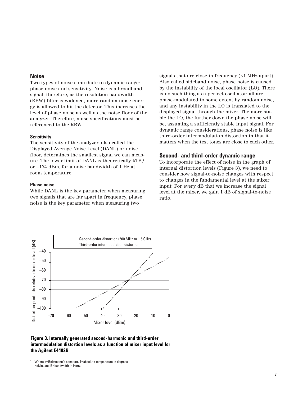#### **Noise**

Two types of noise contribute to dynamic range: phase noise and sensitivity. Noise is a broadband signal; therefore, as the resolution bandwidth (RBW) filter is widened, more random noise energy is allowed to hit the detector. This increases the level of phase noise as well as the noise floor of the analyzer. Therefore, noise specifications must be referenced to the RBW.

#### **Sensitivity**

The sensitivity of the analyzer, also called the Displayed Average Noise Level (DANL) or noise floor, determines the smallest signal we can measure. The lower limit of DANL is theoretically kTB,<sup>1</sup> or –174 dBm, for a noise bandwidth of 1 Hz at room temperature.

#### **Phase noise**

While DANL is the key parameter when measuring two signals that are far apart in frequency, phase noise is the key parameter when measuring two

signals that are close in frequency (<1 MHz apart). Also called sideband noise, phase noise is caused by the instability of the local oscillator (LO). There is no such thing as a perfect oscillator; all are phase-modulated to some extent by random noise, and any instability in the LO is translated to the displayed signal through the mixer. The more stable the LO, the further down the phase noise will be, assuming a sufficiently stable input signal. For dynamic range considerations, phase noise is like third-order intermodulation distortion in that it matters when the test tones are close to each other.

#### **Second- and third-order dynamic range**

To incorporate the effect of noise in the graph of internal distortion levels (Figure 3), we need to consider how signal-to-noise changes with respect to changes in the fundamental level at the mixer input. For every dB that we increase the signal level at the mixer, we gain 1 dB of signal-to-noise ratio.



**Figure 3. Internally generated second-harmonic and third-order intermodulation distortion levels as a function of mixer input level for the Agilent E4402B**

<sup>1.</sup> Where k=Boltzmann's constant, T=absolute temperature in degrees Kelvin, and B=bandwidth in Hertz.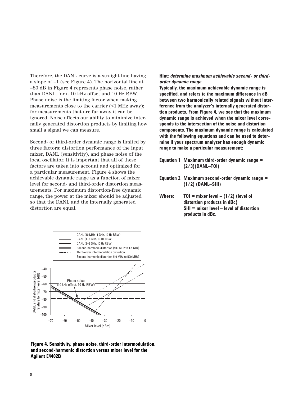Therefore, the DANL curve is a straight line having a slope of –1 (see Figure 4). The horizontal line at –80 dB in Figure 4 represents phase noise, rather than DANL, for a 10 kHz offset and 10 Hz RBW. Phase noise is the limiting factor when making measurements close to the carrier (<1 MHz away); for measurements that are far away it can be ignored. Noise affects our ability to minimize internally generated distortion products by limiting how small a signal we can measure.

Second- or third-order dynamic range is limited by three factors: distortion performance of the input mixer, DANL (sensitivity), and phase noise of the local oscillator. It is important that all of these factors are taken into account and optimized for a particular measurement. Figure 4 shows the achievable dynamic range as a function of mixer level for second- and third-order distortion measurements. For maximum distortion-free dynamic range, the power at the mixer should be adjusted so that the DANL and the internally generated distortion are equal.



**Typically, the maximum achievable dynamic range is specified, and refers to the maximum difference in dB between two harmonically related signals without interference from the analyzer's internally generated distortion products. From Figure 4, we see that the maximum dynamic range is achieved when the mixer level corresponds to the intersection of the noise and distortion components. The maximum dynamic range is calculated with the following equations and can be used to determine if your spectrum analyzer has enough dynamic range to make a particular measurement:**

- **Equation 1 Maximum third-order dynamic range = (2/3)(DANL–TOI)**
- **Equation 2 Maximum second-order dynamic range = (1/2) (DANL–SHI)**
- **Where: TOI = mixer level (1/2) (level of distortion products in dBc) SHI = mixer level – level of distortion products in dBc.**



**Figure 4. Sensitivity, phase noise, third-order intermodulation, and second-harmonic distortion versus mixer level for the Agilent E4402B**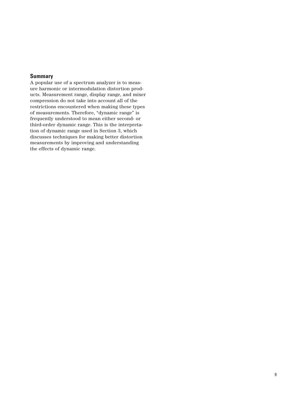### **Summary**

A popular use of a spectrum analyzer is to measure harmonic or intermodulation distortion products. Measurement range, display range, and mixer compression do not take into account all of the restrictions encountered when making these types of measurements. Therefore, "dynamic range" is frequently understood to mean either second- or third-order dynamic range. This is the interpretation of dynamic range used in Section 3, which discusses techniques for making better distortion measurements by improving and understanding the effects of dynamic range.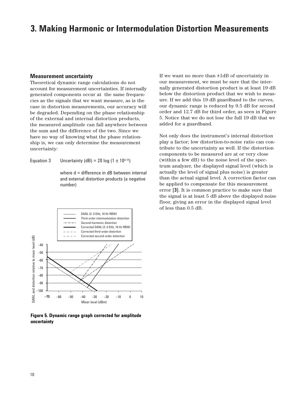## **3. Making Harmonic or Intermodulation Distortion Measurements**

#### **Measurement uncertainty**

Theoretical dynamic range calculations do not account for measurement uncertainties. If internally generated components occur at the same frequencies as the signals that we want measure, as is the case in distortion measurements, our accuracy will be degraded. Depending on the phase relationship of the external and internal distortion products, the measured amplitude can fall anywhere between the sum and the difference of the two. Since we have no way of knowing what the phase relationship is, we can only determine the measurement uncertainty:

Equation 3 Uncertainty (dB) = 20 log (1  $\pm$  10<sup>d/20</sup>)

where d = difference in dB between internal and external distortion products (a negative number)

If we want no more than ±1dB of uncertainty in our measurement, we must be sure that the internally generated distortion product is at least 19 dB below the distortion product that we wish to measure. If we add this 19 dB guardband to the curves, our dynamic range is reduced by 9.5 dB for second order and 12.7 dB for third order, as seen in Figure 5. Notice that we do not lose the full 19 dB that we added for a guardband.

Not only does the instrument's internal distortion play a factor; low distortion-to-noise ratio can contribute to the uncertainty as well. If the distortion components to be measured are at or very close (within a few dB) to the noise level of the spectrum analyzer, the displayed signal level (which is actually the level of signal plus noise) is greater than the actual signal level. A correction factor can be applied to compensate for this measurement error **[3]**. It is common practice to make sure that the signal is at least 5 dB above the displayed noise floor, giving an error in the displayed signal level of less than 0.5 dB.



**Figure 5. Dynamic range graph corrected for amplitude uncertainty**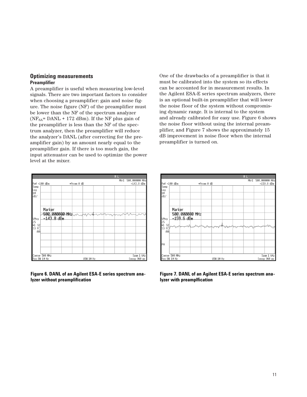### **Optimizing measurements Preamplifier**

A preamplifier is useful when measuring low-level signals. There are two important factors to consider when choosing a preamplifier: gain and noise figure. The noise figure (NF) of the preamplifier must be lower than the NF of the spectrum analyzer ( $NF_{SA}$ = DANL + 172 dBm). If the NF plus gain of the preamplifier is less than the NF of the spectrum analyzer, then the preamplifier will reduce the analyzer's DANL (after correcting for the preamplifier gain) by an amount nearly equal to the preamplifier gain. If there is too much gain, the input attenuator can be used to optimize the power level at the mixer.

One of the drawbacks of a preamplifier is that it must be calibrated into the system so its effects can be accounted for in measurement results. In the Agilent ESA-E series spectrum analyzers, there is an optional built-in preamplifier that will lower the noise floor of the system without compromising dynamic range. It is internal to the system and already calibrated for easy use. Figure 6 shows the noise floor without using the internal preamplifier, and Figure 7 shows the approximately 15 dB improvement in noise floor when the internal preamplifier is turned on.



**Figure 6. DANL of an Agilent ESA-E series spectrum analyzer without preamplification**



**Figure 7. DANL of an Agilent ESA-E series spectrum analyzer with preamplfication**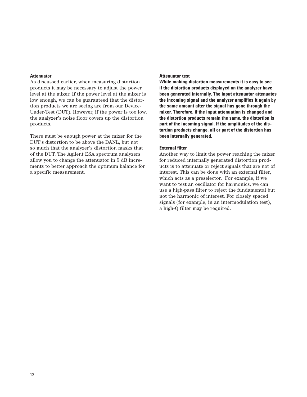#### **Attenuator**

As discussed earlier, when measuring distortion products it may be necessary to adjust the power level at the mixer. If the power level at the mixer is low enough, we can be guaranteed that the distortion products we are seeing are from our Device-Under-Test (DUT). However, if the power is too low, the analyzer's noise floor covers up the distortion products.

There must be enough power at the mixer for the DUT's distortion to be above the DANL, but not so much that the analyzer's distortion masks that of the DUT. The Agilent ESA spectrum analyzers allow you to change the attenuator in 5 dB increments to better approach the optimum balance for a specific measurement.

#### **Attenuator test**

**While making distortion measurements it is easy to see if the distortion products displayed on the analyzer have been generated internally. The input attenuator attenuates the incoming signal and the analyzer amplifies it again by the same amount after the signal has gone through the mixer. Therefore, if the input attenuation is changed and the distortion products remain the same, the distortion is part of the incoming signal. If the amplitudes of the distortion products change, all or part of the distortion has been internally generated.**

#### **External filter**

Another way to limit the power reaching the mixer for reduced internally generated distortion products is to attenuate or reject signals that are not of interest. This can be done with an external filter, which acts as a preselector. For example, if we want to test an oscillator for harmonics, we can use a high-pass filter to reject the fundamental but not the harmonic of interest. For closely spaced signals (for example, in an intermodulation test), a high-Q filter may be required.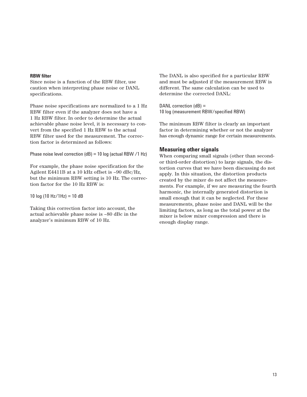#### **RBW filter**

Since noise is a function of the RBW filter, use caution when interpreting phase noise or DANL specifications.

Phase noise specifications are normalized to a 1 Hz RBW filter even if the analyzer does not have a 1 Hz RBW filter. In order to determine the actual achievable phase noise level, it is necessary to convert from the specified 1 Hz RBW to the actual RBW filter used for the measurement. The correction factor is determined as follows:

Phase noise level correction (dB) = 10 log (actual RBW /1 Hz)

For example, the phase noise specification for the Agilent E4411B at a 10 kHz offset is –90 dBc/Hz, but the minimum RBW setting is 10 Hz. The correction factor for the 10 Hz RBW is:

10  $log(10 Hz/1 Hz) = 10 dB$ 

Taking this correction factor into account, the actual achievable phase noise is –80 dBc in the analyzer's minimum RBW of 10 Hz.

The DANL is also specified for a particular RBW and must be adjusted if the measurement RBW is different. The same calculation can be used to determine the corrected DANL:

DANL correction (dB) = 10 log (measurement RBW/specified RBW)

The minimum RBW filter is clearly an important factor in determining whether or not the analyzer has enough dynamic range for certain measurements.

### **Measuring other signals**

When comparing small signals (other than secondor third-order distortion) to large signals, the distortion curves that we have been discussing do not apply. In this situation, the distortion products created by the mixer do not affect the measurements. For example, if we are measuring the fourth harmonic, the internally generated distortion is small enough that it can be neglected. For these measurements, phase noise and DANL will be the limiting factors, as long as the total power at the mixer is below mixer compression and there is enough display range.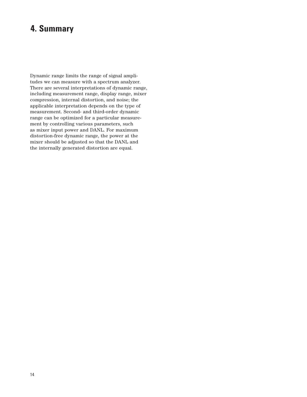# **4. Summary**

Dynamic range limits the range of signal amplitudes we can measure with a spectrum analyzer. There are several interpretations of dynamic range, including measurement range, display range, mixer compression, internal distortion, and noise; the applicable interpretation depends on the type of measurement. Second- and third-order dynamic range can be optimized for a particular measurement by controlling various parameters, such as mixer input power and DANL. For maximum distortion-free dynamic range, the power at the mixer should be adjusted so that the DANL and the internally generated distortion are equal.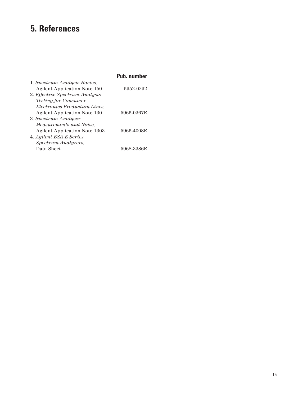# **5. References**

|                                      | Pub. number |
|--------------------------------------|-------------|
| 1. Spectrum Analysis Basics,         |             |
| <b>Agilent Application Note 150</b>  | 5952-0292   |
| 2. Effective Spectrum Analysis       |             |
| <i>Testing for Consumer</i>          |             |
| <i>Electronics Production Lines.</i> |             |
| <b>Agilent Application Note 130</b>  | 5966-0367E  |
| 3. Spectrum Analyzer                 |             |
| Measurements and Noise,              |             |
| <b>Agilent Application Note 1303</b> | 5966-4008E  |
| 4. Agilent ESA-E Series              |             |
| Spectrum Analyzers,                  |             |
| Data Sheet                           | 5968-3386E  |